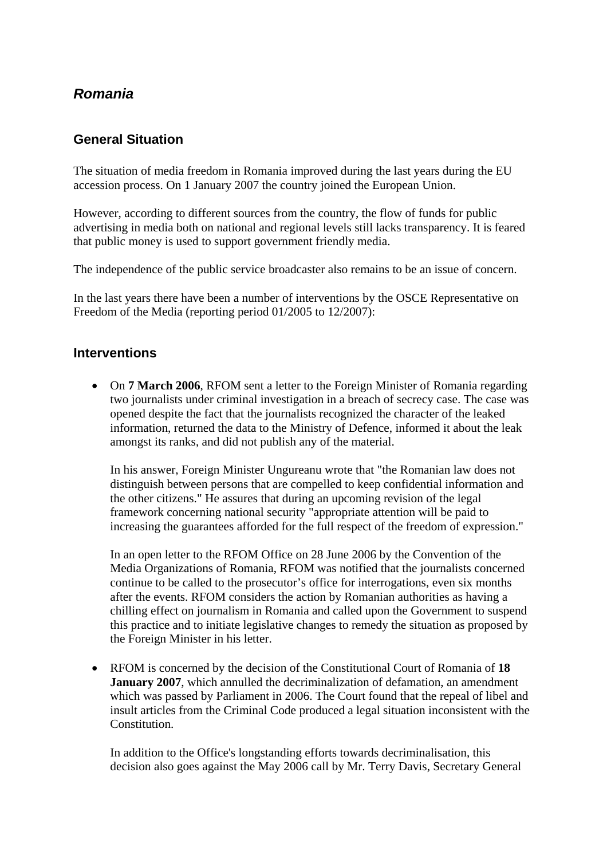## *Romania*

## **General Situation**

The situation of media freedom in Romania improved during the last years during the EU accession process. On 1 January 2007 the country joined the European Union.

However, according to different sources from the country, the flow of funds for public advertising in media both on national and regional levels still lacks transparency. It is feared that public money is used to support government friendly media.

The independence of the public service broadcaster also remains to be an issue of concern.

In the last years there have been a number of interventions by the OSCE Representative on Freedom of the Media (reporting period 01/2005 to 12/2007):

## **Interventions**

• On **7 March 2006**, RFOM sent a letter to the Foreign Minister of Romania regarding two journalists under criminal investigation in a breach of secrecy case. The case was opened despite the fact that the journalists recognized the character of the leaked information, returned the data to the Ministry of Defence, informed it about the leak amongst its ranks, and did not publish any of the material.

In his answer, Foreign Minister Ungureanu wrote that "the Romanian law does not distinguish between persons that are compelled to keep confidential information and the other citizens." He assures that during an upcoming revision of the legal framework concerning national security "appropriate attention will be paid to increasing the guarantees afforded for the full respect of the freedom of expression."

In an open letter to the RFOM Office on 28 June 2006 by the Convention of the Media Organizations of Romania, RFOM was notified that the journalists concerned continue to be called to the prosecutor's office for interrogations, even six months after the events. RFOM considers the action by Romanian authorities as having a chilling effect on journalism in Romania and called upon the Government to suspend this practice and to initiate legislative changes to remedy the situation as proposed by the Foreign Minister in his letter.

• RFOM is concerned by the decision of the Constitutional Court of Romania of **18 January 2007**, which annulled the decriminalization of defamation, an amendment which was passed by Parliament in 2006. The Court found that the repeal of libel and insult articles from the Criminal Code produced a legal situation inconsistent with the Constitution.

In addition to the Office's longstanding efforts towards decriminalisation, this decision also goes against the May 2006 call by Mr. Terry Davis, Secretary General